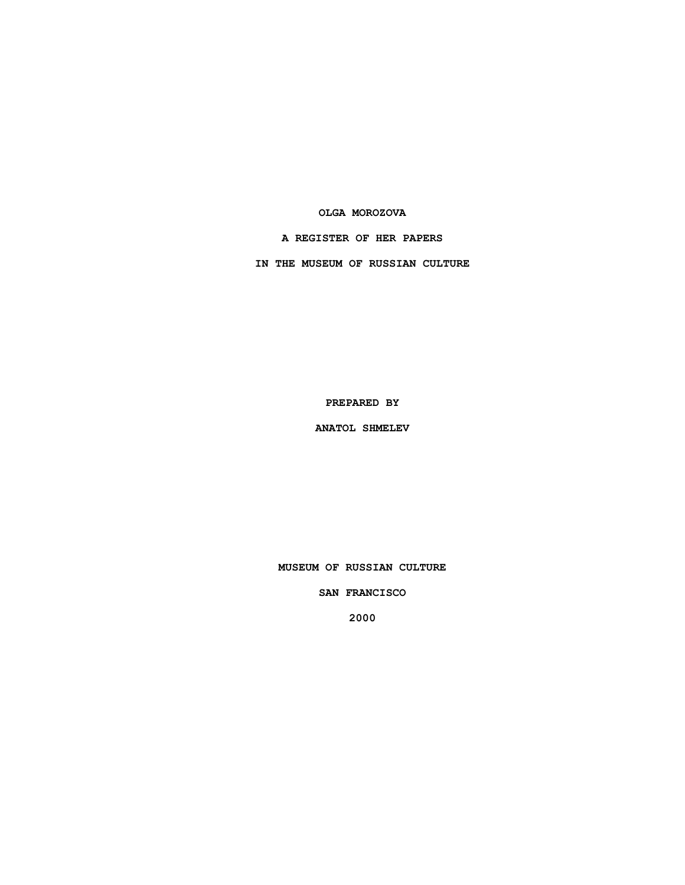### **OLGA MOROZOVA**

## **A REGISTER OF HER PAPERS**

**IN THE MUSEUM OF RUSSIAN CULTURE**

**PREPARED BY**

**ANATOL SHMELEV**

**MUSEUM OF RUSSIAN CULTURE**

**SAN FRANCISCO**

**2000**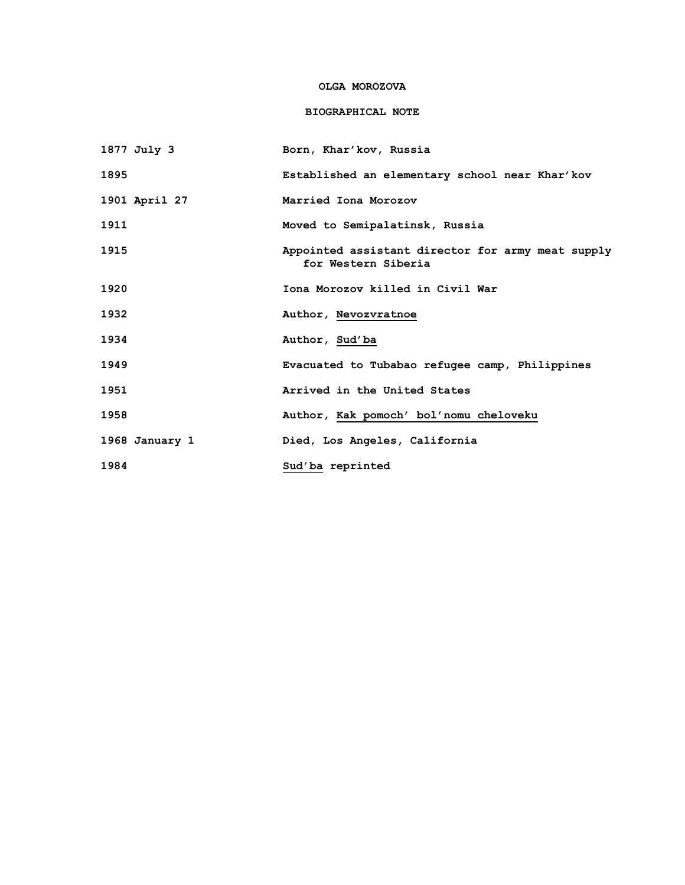## **OLGA MOROZOVA**

# **BIOGRAPHICAL NOTE**

| 1877 July 3    | Born, Khar'kov, Russia                                                   |
|----------------|--------------------------------------------------------------------------|
| 1895           | Established an elementary school near Khar'kov                           |
| 1901 April 27  | Married Iona Morozov                                                     |
| 1911           | Moved to Semipalatinsk, Russia                                           |
| 1915           | Appointed assistant director for army meat supply<br>for Western Siberia |
| 1920           | Iona Morozov killed in Civil War                                         |
| 1932           | Author, Nevozvratnoe                                                     |
| 1934           | Author, Sud'ba                                                           |
| 1949           | Evacuated to Tubabao refugee camp, Philippines                           |
| 1951           | Arrived in the United States                                             |
| 1958           | Author, Kak pomoch' bol'nomu cheloveku                                   |
| 1968 January 1 | Died, Los Angeles, California                                            |
| 1984           | Sud'ba reprinted                                                         |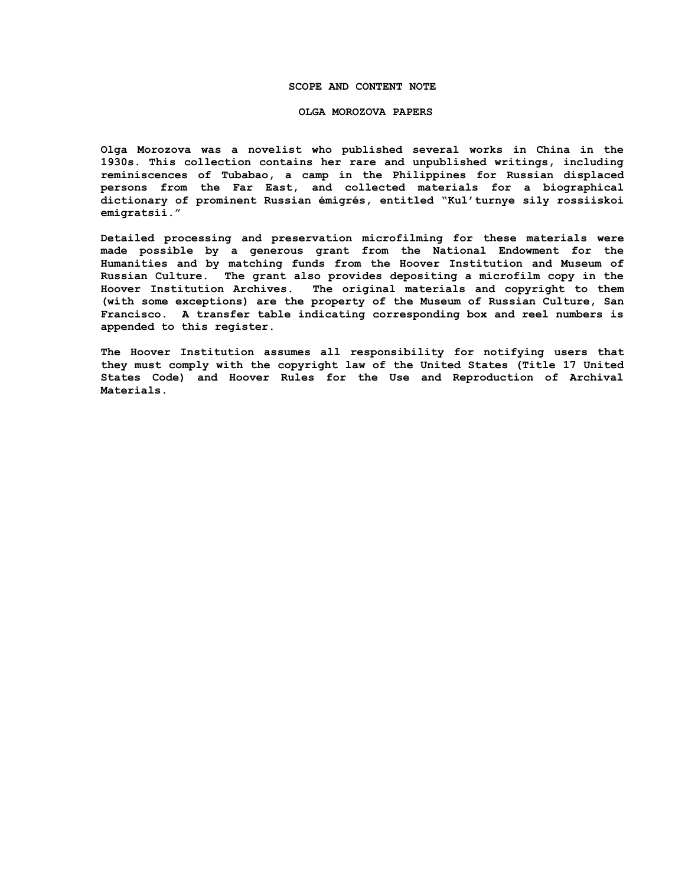### **SCOPE AND CONTENT NOTE**

#### **OLGA MOROZOVA PAPERS**

**Olga Morozova was a novelist who published several works in China in the 1930s. This collection contains her rare and unpublished writings, including reminiscences of Tubabao, a camp in the Philippines for Russian displaced persons from the Far East, and collected materials for a biographical dictionary of prominent Russian émigrés, entitled "Kul'turnye sily rossiiskoi emigratsii."**

**Detailed processing and preservation microfilming for these materials were made possible by a generous grant from the National Endowment for the Humanities and by matching funds from the Hoover Institution and Museum of Russian Culture. The grant also provides depositing a microfilm copy in the Hoover Institution Archives. The original materials and copyright to them (with some exceptions) are the property of the Museum of Russian Culture, San Francisco. A transfer table indicating corresponding box and reel numbers is appended to this register.**

**The Hoover Institution assumes all responsibility for notifying users that they must comply with the copyright law of the United States (Title 17 United States Code) and Hoover Rules for the Use and Reproduction of Archival Materials.**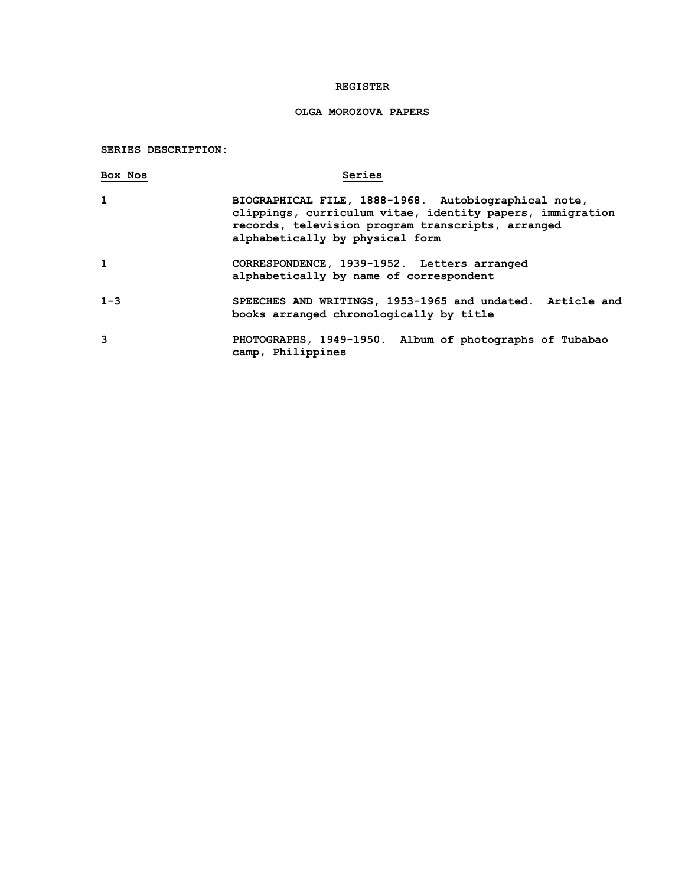## **REGISTER**

## **OLGA MOROZOVA PAPERS**

## **SERIES DESCRIPTION:**

| Box Nos      | Series                                                                                                                                                                                                    |
|--------------|-----------------------------------------------------------------------------------------------------------------------------------------------------------------------------------------------------------|
| $\mathbf{1}$ | BIOGRAPHICAL FILE, 1888-1968. Autobiographical note,<br>clippings, curriculum vitae, identity papers, immigration<br>records, television program transcripts, arranged<br>alphabetically by physical form |
| 1            | CORRESPONDENCE, 1939-1952. Letters arranged<br>alphabetically by name of correspondent                                                                                                                    |
| $1 - 3$      | SPEECHES AND WRITINGS, 1953-1965 and undated. Article and<br>books arranged chronologically by title                                                                                                      |
| 3            | PHOTOGRAPHS, 1949-1950. Album of photographs of Tubabao<br>camp, Philippines                                                                                                                              |